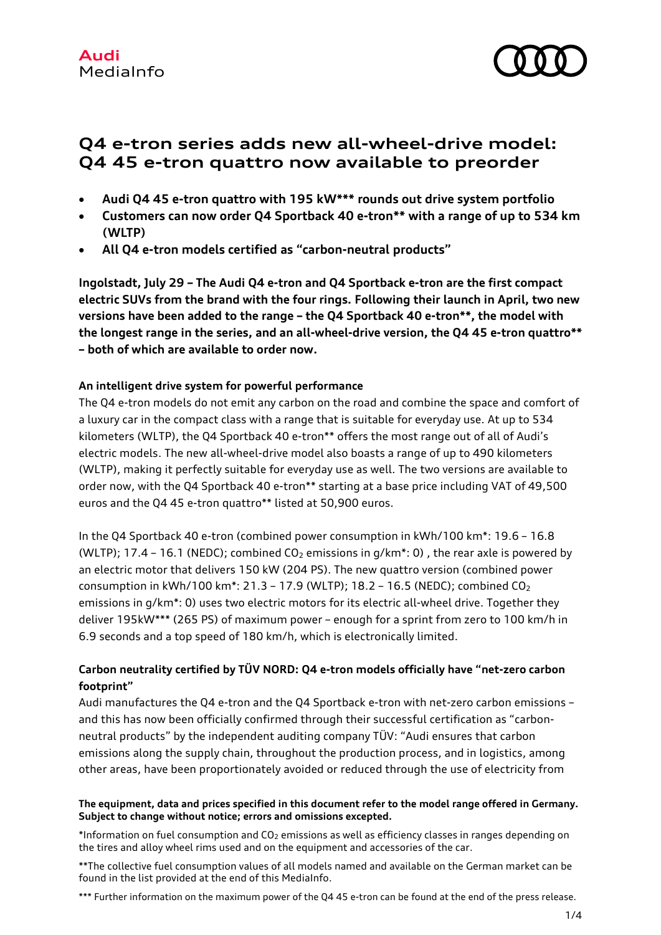

# **Q4 e-tron series adds new all-wheel-drive model: Q4 45 e-tron quattro now available to preorder**

- **Audi Q4 45 e-tron quattro with 195 kW\*\*\* rounds out drive system portfolio**
- **Customers can now order Q4 Sportback 40 e-tron\*\* with a range of up to 534 km (WLTP)**
- **All Q4 e-tron models certified as "carbon-neutral products"**

**Ingolstadt, July 29 – The Audi Q4 e-tron and Q4 Sportback e-tron are the first compact electric SUVs from the brand with the four rings. Following their launch in April, two new versions have been added to the range – the Q4 Sportback 40 e-tron\*\*, the model with the longest range in the series, and an all-wheel-drive version, the Q4 45 e-tron quattro\*\* – both of which are available to order now.** 

# **An intelligent drive system for powerful performance**

The Q4 e-tron models do not emit any carbon on the road and combine the space and comfort of a luxury car in the compact class with a range that is suitable for everyday use. At up to 534 kilometers (WLTP), the Q4 Sportback 40 e-tron\*\* offers the most range out of all of Audi's electric models. The new all-wheel-drive model also boasts a range of up to 490 kilometers (WLTP), making it perfectly suitable for everyday use as well. The two versions are available to order now, with the Q4 Sportback 40 e-tron\*\* starting at a base price including VAT of 49,500 euros and the Q4 45 e-tron quattro\*\* listed at 50,900 euros.

In the Q4 Sportback 40 e-tron (combined power consumption in kWh/100 km\*: 19.6 – 16.8 (WLTP); 17.4 – 16.1 (NEDC); combined  $CO<sub>2</sub>$  emissions in  $q/km^*$ : 0), the rear axle is powered by an electric motor that delivers 150 kW (204 PS). The new quattro version (combined power consumption in kWh/100 km<sup>\*</sup>: 21.3 - 17.9 (WLTP); 18.2 - 16.5 (NEDC); combined  $CO<sub>2</sub>$ emissions in g/km\*: 0) uses two electric motors for its electric all-wheel drive. Together they deliver 195kW\*\*\* (265 PS) of maximum power – enough for a sprint from zero to 100 km/h in 6.9 seconds and a top speed of 180 km/h, which is electronically limited.

# **Carbon neutrality certified by TÜV NORD: Q4 e-tron models officially have "net-zero carbon footprint"**

Audi manufactures the Q4 e-tron and the Q4 Sportback e-tron with net-zero carbon emissions – and this has now been officially confirmed through their successful certification as "carbonneutral products" by the independent auditing company TÜV: "Audi ensures that carbon emissions along the supply chain, throughout the production process, and in logistics, among other areas, have been proportionately avoided or reduced through the use of electricity from

## **The equipment, data and prices specified in this document refer to the model range offered in Germany. Subject to change without notice; errors and omissions excepted.**

\*Information on fuel consumption and CO2 emissions as well as efficiency classes in ranges depending on the tires and alloy wheel rims used and on the equipment and accessories of the car.

\*\*The collective fuel consumption values of all models named and available on the German market can be found in the list provided at the end of this MediaInfo.

\*\*\* Further information on the maximum power of the Q4 45 e-tron can be found at the end of the press release.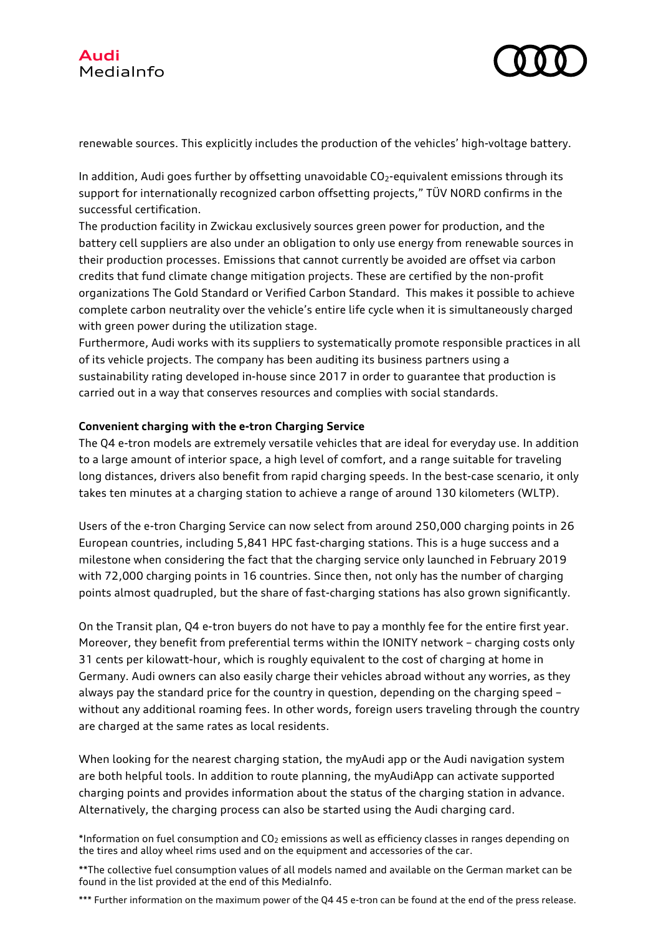

renewable sources. This explicitly includes the production of the vehicles' high-voltage battery.

In addition, Audi goes further by offsetting unavoidable  $CO_2$ -equivalent emissions through its support for internationally recognized carbon offsetting projects," TÜV NORD confirms in the successful certification.

The production facility in Zwickau exclusively sources green power for production, and the battery cell suppliers are also under an obligation to only use energy from renewable sources in their production processes. Emissions that cannot currently be avoided are offset via carbon credits that fund climate change mitigation projects. These are certified by the non-profit organizations The Gold Standard or Verified Carbon Standard. This makes it possible to achieve complete carbon neutrality over the vehicle's entire life cycle when it is simultaneously charged with green power during the utilization stage.

Furthermore, Audi works with its suppliers to systematically promote responsible practices in all of its vehicle projects. The company has been auditing its business partners using a sustainability rating developed in-house since 2017 in order to guarantee that production is carried out in a way that conserves resources and complies with social standards.

## **Convenient charging with the e-tron Charging Service**

The Q4 e-tron models are extremely versatile vehicles that are ideal for everyday use. In addition to a large amount of interior space, a high level of comfort, and a range suitable for traveling long distances, drivers also benefit from rapid charging speeds. In the best-case scenario, it only takes ten minutes at a charging station to achieve a range of around 130 kilometers (WLTP).

Users of the e-tron Charging Service can now select from around 250,000 charging points in 26 European countries, including 5,841 HPC fast-charging stations. This is a huge success and a milestone when considering the fact that the charging service only launched in February 2019 with 72,000 charging points in 16 countries. Since then, not only has the number of charging points almost quadrupled, but the share of fast-charging stations has also grown significantly.

On the Transit plan, Q4 e-tron buyers do not have to pay a monthly fee for the entire first year. Moreover, they benefit from preferential terms within the IONITY network – charging costs only 31 cents per kilowatt-hour, which is roughly equivalent to the cost of charging at home in Germany. Audi owners can also easily charge their vehicles abroad without any worries, as they always pay the standard price for the country in question, depending on the charging speed – without any additional roaming fees. In other words, foreign users traveling through the country are charged at the same rates as local residents.

When looking for the nearest charging station, the myAudi app or the Audi navigation system are both helpful tools. In addition to route planning, the myAudiApp can activate supported charging points and provides information about the status of the charging station in advance. Alternatively, the charging process can also be started using the Audi charging card.

\*Information on fuel consumption and CO2 emissions as well as efficiency classes in ranges depending on the tires and alloy wheel rims used and on the equipment and accessories of the car.

\*\*The collective fuel consumption values of all models named and available on the German market can be found in the list provided at the end of this MediaInfo.

\*\*\* Further information on the maximum power of the Q4 45 e-tron can be found at the end of the press release.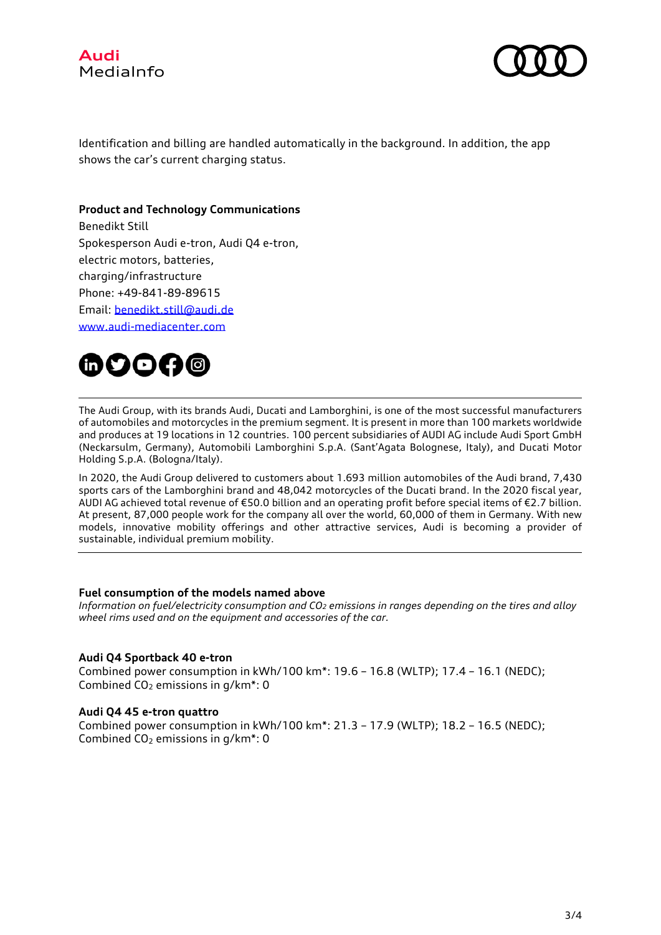



Identification and billing are handled automatically in the background. In addition, the app shows the car's current charging status.

## **Product and Technology Communications**

Benedikt Still Spokesperson Audi e-tron, Audi Q4 e-tron, electric motors, batteries, charging/infrastructure Phone: +49-841-89-89615 Email: [benedikt.still@audi.de](mailto:benedikt.still@audi.de) [www.audi-mediacenter.com](http://www.audi-mediacenter.com/de)



The Audi Group, with its brands Audi, Ducati and Lamborghini, is one of the most successful manufacturers of automobiles and motorcycles in the premium segment. It is present in more than 100 markets worldwide and produces at 19 locations in 12 countries. 100 percent subsidiaries of AUDI AG include Audi Sport GmbH (Neckarsulm, Germany), Automobili Lamborghini S.p.A. (Sant'Agata Bolognese, Italy), and Ducati Motor Holding S.p.A. (Bologna/Italy).

In 2020, the Audi Group delivered to customers about 1.693 million automobiles of the Audi brand, 7,430 sports cars of the Lamborghini brand and 48,042 motorcycles of the Ducati brand. In the 2020 fiscal year, AUDI AG achieved total revenue of €50.0 billion and an operating profit before special items of €2.7 billion. At present, 87,000 people work for the company all over the world, 60,000 of them in Germany. With new models, innovative mobility offerings and other attractive services, Audi is becoming a provider of sustainable, individual premium mobility.

#### **Fuel consumption of the models named above**

*Information on fuel/electricity consumption and CO2 emissions in ranges depending on the tires and alloy wheel rims used and on the equipment and accessories of the car.*

#### **Audi Q4 Sportback 40 e-tron**

Combined power consumption in kWh/100 km\*: 19.6 – 16.8 (WLTP); 17.4 – 16.1 (NEDC); Combined CO<sub>2</sub> emissions in q/km<sup>\*</sup>: 0

#### **Audi Q4 45 e-tron quattro**

Combined power consumption in kWh/100 km\*: 21.3 – 17.9 (WLTP); 18.2 – 16.5 (NEDC); Combined  $CO<sub>2</sub>$  emissions in  $a/km^*$ : 0